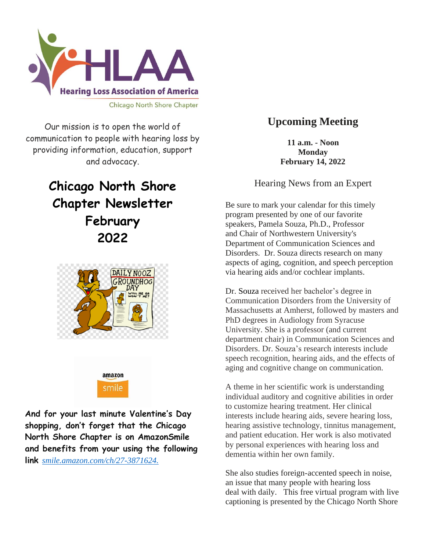

Our mission is to open the world of communication to people with hearing loss by providing information, education, support and advocacy.

# **Chicago North Shore Chapter Newsletter February 2022**





**And for your last minute Valentine's Day shopping, don't forget that the Chicago North Shore Chapter is on AmazonSmile and benefits from your using the following link** *[smile.amazon.com/ch/27-3871624.](https://smile.amazon.com/gp/f.html?C=1ISN78MKH9BO5&K=335GHMLLUNWPP&M=urn:rtn:msg:201711261709243e998692f70f4f958c3b0d8c4fc0p0na&R=2QXN90TCYDI2Y&T=C&U=http%3A%2F%2Fsmile.amazon.com%2Fch%2F27-3871624&H=TGCVNDHNIX5ZIRJTWBNLXG15NMOA)*

### **Upcoming Meeting**

**11 a.m. - Noon Monday February 14, 2022**

Hearing News from an Expert

Be sure to mark your calendar for this timely program presented by one of our favorite speakers, Pamela Souza, Ph.D., Professor and Chair of Northwestern University's Department of Communication Sciences and Disorders. Dr. Souza directs research on many aspects of aging, cognition, and speech perception via hearing aids and/or cochlear implants.

Dr. [Souza](https://www.communication.northwestern.edu/faculty/PamelaSouza) received her bachelor's degree in Communication Disorders from the University of Massachusetts at Amherst, followed by masters and PhD degrees in Audiology from Syracuse University. She is a professor (and current department chair) in Communication Sciences and Disorders. Dr. Souza's research interests include speech recognition, hearing aids, and the effects of aging and cognitive change on communication.

A theme in her scientific work is understanding individual auditory and cognitive abilities in order to customize hearing treatment. Her clinical interests include hearing aids, severe hearing loss, hearing assistive technology, tinnitus management, and patient education. Her work is also motivated by personal experiences with hearing loss and dementia within her own family.

She also studies foreign-accented speech in noise, an issue that many people with hearing loss deal with daily. This free virtual program with live captioning is presented by the Chicago North Shore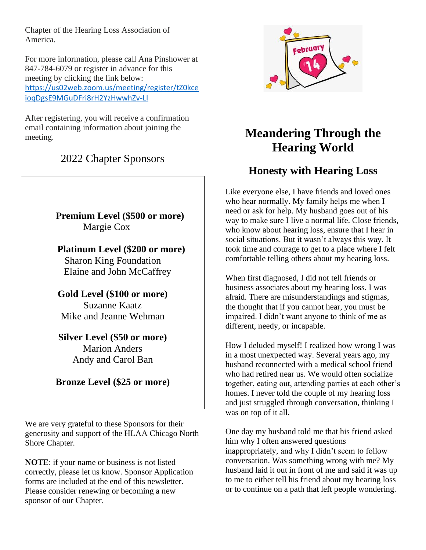Chapter of the Hearing Loss Association of America.

For more information, please call Ana Pinshower at 847-784-6079 or register in advance for this meeting by clicking the link below: [https://us02web.zoom.us/meeting/register/tZ0kce](https://us02web.zoom.us/meeting/register/tZ0kceioqDgsE9MGuDFri8rH2YzHwwhZv-LI) [ioqDgsE9MGuDFri8rH2YzHwwhZv-LI](https://us02web.zoom.us/meeting/register/tZ0kceioqDgsE9MGuDFri8rH2YzHwwhZv-LI)

After registering, you will receive a confirmation email containing information about joining the meeting.

### 2022 Chapter Sponsors

### **Premium Level (\$500 or more)** Margie Cox

 **Platinum Level (\$200 or more)** Sharon King Foundation Elaine and John McCaffrey

**Gold Level (\$100 or more)** Suzanne Kaatz Mike and Jeanne Wehman

#### **Silver Level (\$50 or more)** Marion Anders Andy and Carol Ban

### **Bronze Level (\$25 or more)**

We are very grateful to these Sponsors for their generosity and support of the HLAA Chicago North Shore Chapter.

**NOTE**: if your name or business is not listed correctly, please let us know. Sponsor Application forms are included at the end of this newsletter. Please consider renewing or becoming a new sponsor of our Chapter.



## **Meandering Through the Hearing World**

## **Honesty with Hearing Loss**

Like everyone else, I have friends and loved ones who hear normally. My family helps me when I need or ask for help. My husband goes out of his way to make sure I live a normal life. Close friends, who know about hearing loss, ensure that I hear in social situations. But it wasn't always this way. It took time and courage to get to a place where I felt comfortable telling others about my hearing loss.

When first diagnosed, I did not tell friends or business associates about my hearing loss. I was afraid. There are misunderstandings and stigmas, the thought that if you cannot hear, you must be impaired. I didn't want anyone to think of me as different, needy, or incapable.

How I deluded myself! I realized how wrong I was in a most unexpected way. Several years ago, my husband reconnected with a medical school friend who had retired near us. We would often socialize together, eating out, attending parties at each other's homes. I never told the couple of my hearing loss and just struggled through conversation, thinking I was on top of it all.

One day my husband told me that his friend asked him why I often answered questions inappropriately, and why I didn't seem to follow conversation. Was something wrong with me? My husband laid it out in front of me and said it was up to me to either tell his friend about my hearing loss or to continue on a path that left people wondering.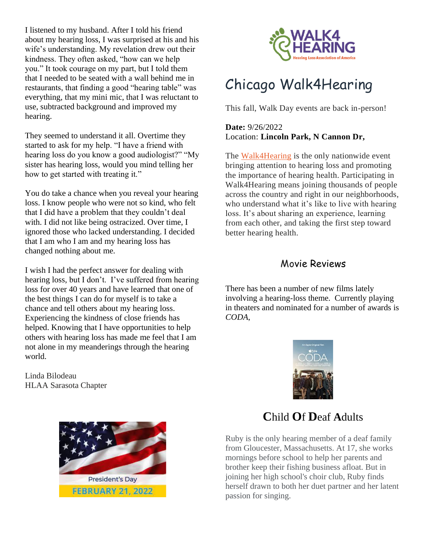I listened to my husband. After I told his friend about my hearing loss, I was surprised at his and his wife's understanding. My revelation drew out their kindness. They often asked, "how can we help you." It took courage on my part, but I told them that I needed to be seated with a wall behind me in restaurants, that finding a good "hearing table" was everything, that my mini mic, that I was reluctant to use, subtracted background and improved my hearing.

They seemed to understand it all. Overtime they started to ask for my help. "I have a friend with hearing loss do you know a good audiologist?" "My sister has hearing loss, would you mind telling her how to get started with treating it."

You do take a chance when you reveal your hearing loss. I know people who were not so kind, who felt that I did have a problem that they couldn't deal with. I did not like being ostracized. Over time, I ignored those who lacked understanding. I decided that I am who I am and my hearing loss has changed nothing about me.

I wish I had the perfect answer for dealing with hearing loss, but I don't. I've suffered from hearing loss for over 40 years and have learned that one of the best things I can do for myself is to take a chance and tell others about my hearing loss. Experiencing the kindness of close friends has helped. Knowing that I have opportunities to help others with hearing loss has made me feel that I am not alone in my meanderings through the hearing world.

Linda Bilodeau HLAA Sarasota Chapter



# [Chicago Walk4Hearing](javascript:void(0);)

This fall, Walk Day events are back in-person!

**Date:** 9/26/2022 Location: **Lincoln Park, N Cannon Dr,**

The [Walk4Hearing](http://hlaa.convio.net/site/PageServer?pagename=walk_home_page) is the only nationwide event bringing attention to hearing loss and promoting the importance of hearing health. Participating in Walk4Hearing means joining thousands of people across the country and right in our neighborhoods, who understand what it's like to live with hearing loss. It's about sharing an experience, learning from each other, and taking the first step toward better hearing health.

#### Movie Reviews

There has been a number of new films lately involving a hearing-loss theme. Currently playing in theaters and nominated for a number of awards is *CODA*,





## **C**hild **O**f **D**eaf **A**dults

Ruby is the only hearing member of a deaf family from Gloucester, Massachusetts. At 17, she works mornings before school to help her parents and brother keep their fishing business afloat. But in joining her high school's choir club, Ruby finds herself drawn to both her duet partner and her latent passion for singing.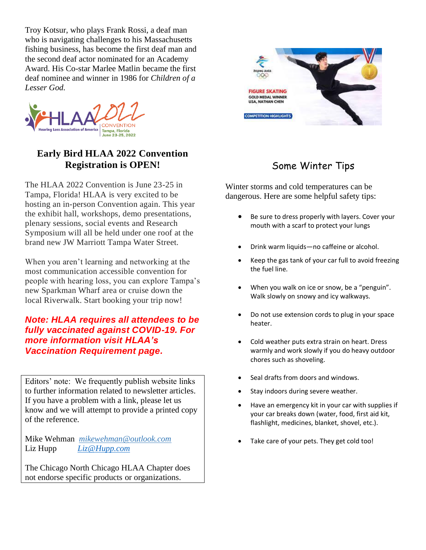Troy Kotsur, who plays Frank Rossi, a deaf man who is navigating challenges to his Massachusetts fishing business, has become the first deaf man and the second deaf actor nominated for an Academy Award. His Co-star Marlee Matlin became the first deaf nominee and winner in 1986 for *Children of a Lesser God.*



### **Early Bird HLAA 2022 Convention Registration is OPEN!**

The HLAA 2022 Convention is June 23-25 in Tampa, Florida! HLAA is very excited to be hosting an in-person Convention again. This year the exhibit hall, workshops, demo presentations, plenary sessions, social events and Research Symposium will all be held under one roof at the brand new JW Marriott Tampa Water Street.

When you aren't learning and networking at the most communication accessible convention for people with hearing loss, you can explore Tampa's new Sparkman Wharf area or cruise down the local Riverwalk. Start booking your trip now!

#### *Note: HLAA requires all attendees to be fully vaccinated against COVID-19. For more information visit HLAA's [Vaccination Requirement page.](https://www.hearingloss.org/programs-events/convention/hlaa-2022-convention-vaccination-requirements/)*

Editors' note: We frequently publish website links to further information related to newsletter articles. If you have a problem with a link, please let us know and we will attempt to provide a printed copy of the reference.

Mike Wehman *mikewehman@outlook.com* Liz Hupp *Liz@Hupp.com* 

The Chicago North Chicago HLAA Chapter does not endorse specific products or organizations.



## Some Winter Tips

Winter storms and cold temperatures can be dangerous. Here are some helpful safety tips:

- Be sure to dress properly with layers. Cover your mouth with a scarf to protect your lungs
- Drink warm liquids—no caffeine or alcohol.
- Keep the gas tank of your car full to avoid freezing the fuel line.
- When you walk on ice or snow, be a "penguin". Walk slowly on snowy and icy walkways.
- Do not use extension cords to plug in your space heater.
- Cold weather puts extra strain on heart. Dress warmly and work slowly if you do heavy outdoor chores such as shoveling.
- Seal drafts from doors and windows.
- Stay indoors during severe weather.
- Have an emergency kit in your car with supplies if your car breaks down (water, food, first aid kit, flashlight, medicines, blanket, shovel, etc.).
- Take care of your pets. They get cold too!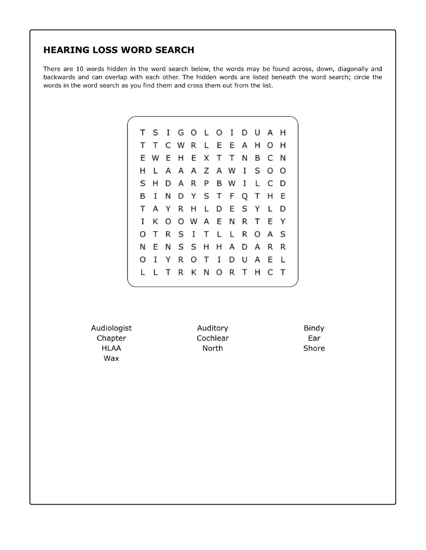#### **HEARING LOSS WORD SEARCH**

There are 10 words hidden in the word search below, the words may be found across, down, diagonally and backwards and can overlap with each other. The hidden words are listed beneath the word search; circle the words in the word search as you find them and cross them out from the list.

|    |  |  |  | T S I G O L O I D U A H |  |  |  |
|----|--|--|--|-------------------------|--|--|--|
| T. |  |  |  | T C W R L E E A H O H   |  |  |  |
|    |  |  |  | E W E H E X T T N B C N |  |  |  |
|    |  |  |  | H L A A A Z A W I S O O |  |  |  |
|    |  |  |  | S H D A R P B W I L C D |  |  |  |
| B  |  |  |  | I N D Y S T F Q T H E   |  |  |  |
|    |  |  |  | T A Y R H L D E S Y L D |  |  |  |
| L  |  |  |  | K O O W A E N R T E Y   |  |  |  |
|    |  |  |  | OTRSITLLROAS            |  |  |  |
|    |  |  |  | N E N S S H H A D A R R |  |  |  |
|    |  |  |  | O I Y R O T I D U A E L |  |  |  |
| L  |  |  |  | LTRKNORTHCT             |  |  |  |
|    |  |  |  |                         |  |  |  |

Audiologist Chapter **HLAA** Wax

Auditory Cochlear North

Bindy Ear Shore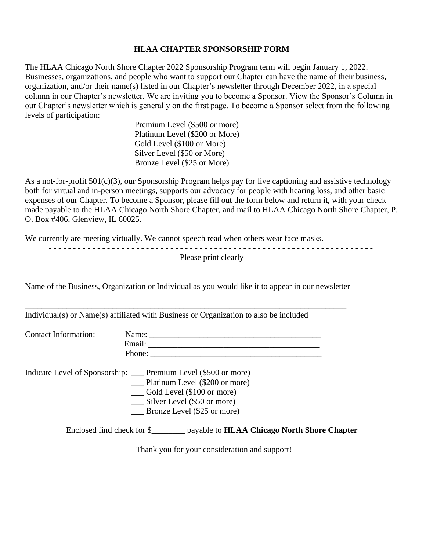#### **HLAA CHAPTER SPONSORSHIP FORM**

The HLAA Chicago North Shore Chapter 2022 Sponsorship Program term will begin January 1, 2022. Businesses, organizations, and people who want to support our Chapter can have the name of their business, organization, and/or their name(s) listed in our Chapter's newsletter through December 2022, in a special column in our Chapter's newsletter. We are inviting you to become a Sponsor. View the Sponsor's Column in our Chapter's newsletter which is generally on the first page. To become a Sponsor select from the following levels of participation:

> Premium Level (\$500 or more) Platinum Level (\$200 or More) Gold Level (\$100 or More) Silver Level (\$50 or More) Bronze Level (\$25 or More)

As a not-for-profit 501(c)(3), our Sponsorship Program helps pay for live captioning and assistive technology both for virtual and in-person meetings, supports our advocacy for people with hearing loss, and other basic expenses of our Chapter. To become a Sponsor, please fill out the form below and return it, with your check made payable to the HLAA Chicago North Shore Chapter, and mail to HLAA Chicago North Shore Chapter, P. O. Box #406, Glenview, IL 60025.

We currently are meeting virtually. We cannot speech read when others wear face masks.

|                      | Please print clearly                                                                                                                                                                                                           |
|----------------------|--------------------------------------------------------------------------------------------------------------------------------------------------------------------------------------------------------------------------------|
|                      | Name of the Business, Organization or Individual as you would like it to appear in our newsletter                                                                                                                              |
|                      | Individual(s) or Name(s) affiliated with Business or Organization to also be included                                                                                                                                          |
| Contact Information: |                                                                                                                                                                                                                                |
|                      | Indicate Level of Sponsorship: ___ Premium Level (\$500 or more)<br>$\_\_\$ Platinum Level (\$200 or more)<br>Gold Level (\$100 or more)<br>$\frac{1}{2}$ Silver Level (\$50 or more)<br>$\_\_\_\$ Bronze Level (\$25 or more) |
|                      | Enclosed find check for \$_______ payable to <b>HLAA Chicago North Shore Chapter</b>                                                                                                                                           |

Thank you for your consideration and support!